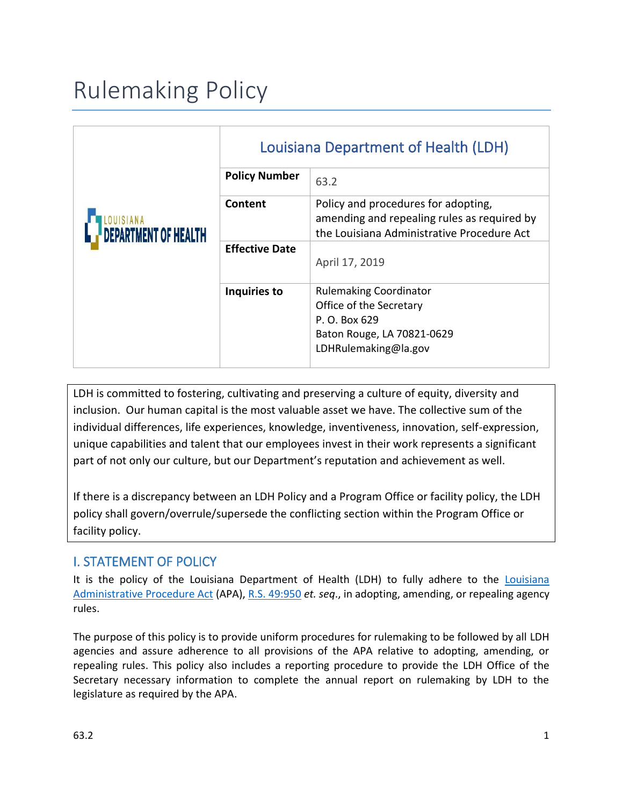# Rulemaking Policy

| <b>DEPARTMENT OF HEALTH</b> | Louisiana Department of Health (LDH) |                                                                                                                                  |
|-----------------------------|--------------------------------------|----------------------------------------------------------------------------------------------------------------------------------|
|                             | <b>Policy Number</b>                 | 63.2                                                                                                                             |
|                             | Content                              | Policy and procedures for adopting,<br>amending and repealing rules as required by<br>the Louisiana Administrative Procedure Act |
|                             | <b>Effective Date</b>                | April 17, 2019                                                                                                                   |
|                             | Inquiries to                         | <b>Rulemaking Coordinator</b><br>Office of the Secretary<br>P. O. Box 629                                                        |
|                             |                                      | Baton Rouge, LA 70821-0629<br>LDHRulemaking@la.gov                                                                               |

LDH is committed to fostering, cultivating and preserving a culture of equity, diversity and inclusion. Our human capital is the most valuable asset we have. The collective sum of the individual differences, life experiences, knowledge, inventiveness, innovation, self-expression, unique capabilities and talent that our employees invest in their work represents a significant part of not only our culture, but our Department's reputation and achievement as well.

If there is a discrepancy between an LDH Policy and a Program Office or facility policy, the LDH policy shall govern/overrule/supersede the conflicting section within the Program Office or facility policy.

### I. STATEMENT OF POLICY

It is the policy of the Louisiana Department of Health (LDH) to fully adhere to the [Louisiana](https://www.doa.la.gov/osr/APA%20Rulemaking%20Guide.pdf)  [Administrative Procedure Act](https://www.doa.la.gov/osr/APA%20Rulemaking%20Guide.pdf) (APA), [R.S. 49:950](https://www.legis.la.gov/Legis/Law.aspx?d=103786) *et. seq*., in adopting, amending, or repealing agency rules.

The purpose of this policy is to provide uniform procedures for rulemaking to be followed by all LDH agencies and assure adherence to all provisions of the APA relative to adopting, amending, or repealing rules. This policy also includes a reporting procedure to provide the LDH Office of the Secretary necessary information to complete the annual report on rulemaking by LDH to the legislature as required by the APA.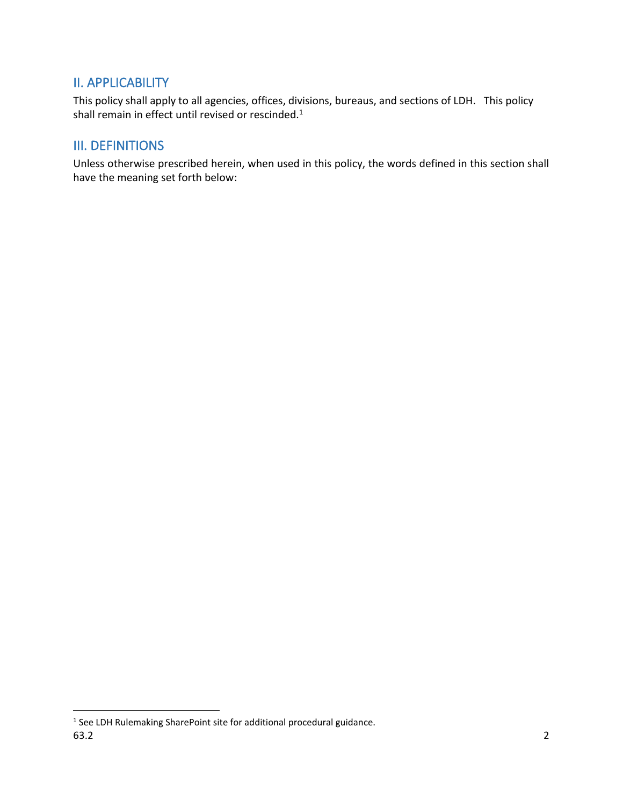#### II. APPLICABILITY

This policy shall apply to all agencies, offices, divisions, bureaus, and sections of LDH. This policy shall remain in effect until revised or rescinded.<sup>1</sup>

#### III. DEFINITIONS

Unless otherwise prescribed herein, when used in this policy, the words defined in this section shall have the meaning set forth below:

 $63.2$  2 <sup>1</sup> See LDH Rulemaking SharePoint site for additional procedural guidance.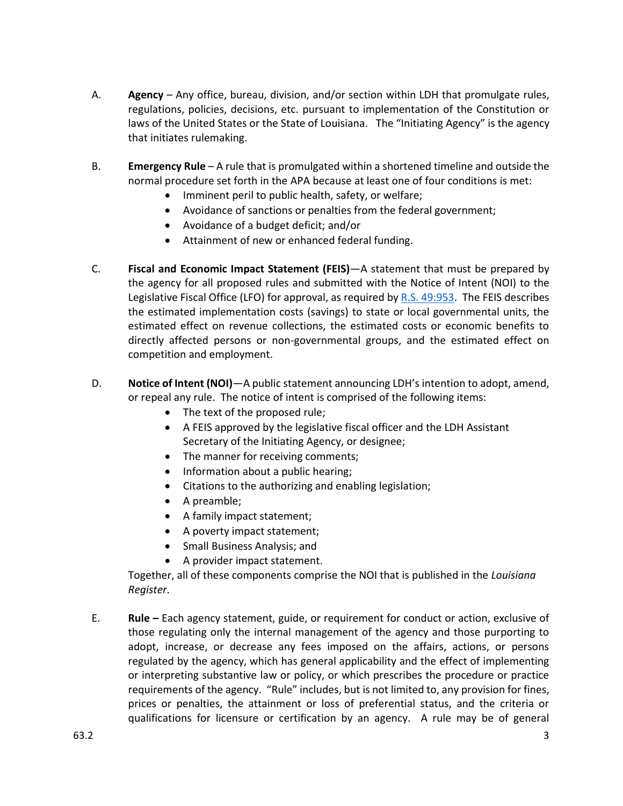- A. **Agency** Any office, bureau, division, and/or section within LDH that promulgate rules, regulations, policies, decisions, etc. pursuant to implementation of the Constitution or laws of the United States or the State of Louisiana. The "Initiating Agency" is the agency that initiates rulemaking.
- B. **Emergency Rule** A rule that is promulgated within a shortened timeline and outside the normal procedure set forth in the APA because at least one of four conditions is met:
	- Imminent peril to public health, safety, or welfare;
	- Avoidance of sanctions or penalties from the federal government;
	- Avoidance of a budget deficit; and/or
	- Attainment of new or enhanced federal funding.
- C. **Fiscal and Economic Impact Statement (FEIS)**—A statement that must be prepared by the agency for all proposed rules and submitted with the Notice of Intent (NOI) to the Legislative Fiscal Office (LFO) for approval, as required by [R.S. 49:953.](https://www.legis.la.gov/Legis/Law.aspx?d=103789) The FEIS describes the estimated implementation costs (savings) to state or local governmental units, the estimated effect on revenue collections, the estimated costs or economic benefits to directly affected persons or non-governmental groups, and the estimated effect on competition and employment.
- D. **Notice of Intent (NOI)**—A public statement announcing LDH's intention to adopt, amend, or repeal any rule. The notice of intent is comprised of the following items:
	- The text of the proposed rule;
	- A FEIS approved by the legislative fiscal officer and the LDH Assistant Secretary of the Initiating Agency, or designee;
	- The manner for receiving comments;
	- Information about a public hearing;
	- Citations to the authorizing and enabling legislation;
	- A preamble;
	- A family impact statement;
	- A poverty impact statement;
	- Small Business Analysis; and
	- A provider impact statement.

Together, all of these components comprise the NOI that is published in the *Louisiana Register*.

E. **Rule –** Each agency statement, guide, or requirement for conduct or action, exclusive of those regulating only the internal management of the agency and those purporting to adopt, increase, or decrease any fees imposed on the affairs, actions, or persons regulated by the agency, which has general applicability and the effect of implementing or interpreting substantive law or policy, or which prescribes the procedure or practice requirements of the agency. "Rule" includes, but is not limited to, any provision for fines, prices or penalties, the attainment or loss of preferential status, and the criteria or qualifications for licensure or certification by an agency. A rule may be of general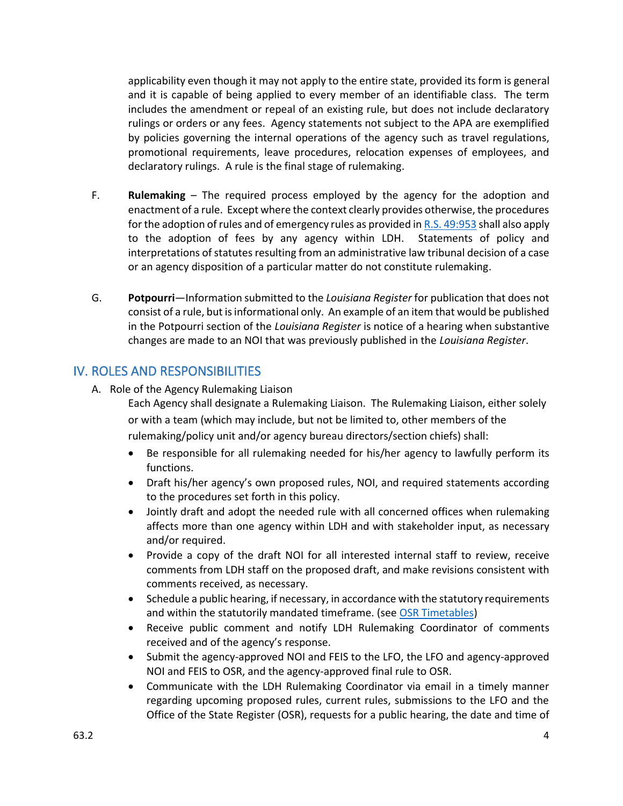applicability even though it may not apply to the entire state, provided its form is general and it is capable of being applied to every member of an identifiable class. The term includes the amendment or repeal of an existing rule, but does not include declaratory rulings or orders or any fees. Agency statements not subject to the APA are exemplified by policies governing the internal operations of the agency such as travel regulations, promotional requirements, leave procedures, relocation expenses of employees, and declaratory rulings. A rule is the final stage of rulemaking.

- F. **Rulemaking** The required process employed by the agency for the adoption and enactment of a rule. Except where the context clearly provides otherwise, the procedures for the adoption of rules and of emergency rules as provided in [R.S. 49:953](https://www.legis.la.gov/Legis/Law.aspx?d=103789) shall also apply to the adoption of fees by any agency within LDH. Statements of policy and interpretations of statutes resulting from an administrative law tribunal decision of a case or an agency disposition of a particular matter do not constitute rulemaking.
- G. **Potpourri**—Information submitted to the *Louisiana Register* for publication that does not consist of a rule, but is informational only. An example of an item that would be published in the Potpourri section of the *Louisiana Register* is notice of a hearing when substantive changes are made to an NOI that was previously published in the *Louisiana Register*.

#### IV. ROLES AND RESPONSIBILITIES

A. Role of the Agency Rulemaking Liaison

Each Agency shall designate a Rulemaking Liaison. The Rulemaking Liaison, either solely or with a team (which may include, but not be limited to, other members of the rulemaking/policy unit and/or agency bureau directors/section chiefs) shall:

- Be responsible for all rulemaking needed for his/her agency to lawfully perform its functions.
- Draft his/her agency's own proposed rules, NOI, and required statements according to the procedures set forth in this policy.
- Jointly draft and adopt the needed rule with all concerned offices when rulemaking affects more than one agency within LDH and with stakeholder input, as necessary and/or required.
- Provide a copy of the draft NOI for all interested internal staff to review, receive comments from LDH staff on the proposed draft, and make revisions consistent with comments received, as necessary.
- Schedule a public hearing, if necessary, in accordance with the statutory requirements and within the statutorily mandated timeframe. (see OSR [Timetables\)](https://www.doa.la.gov/Pages/osr/timetable.aspx)
- Receive public comment and notify LDH Rulemaking Coordinator of comments received and of the agency's response.
- Submit the agency-approved NOI and FEIS to the LFO, the LFO and agency-approved NOI and FEIS to OSR, and the agency-approved final rule to OSR.
- Communicate with the LDH Rulemaking Coordinator via email in a timely manner regarding upcoming proposed rules, current rules, submissions to the LFO and the Office of the State Register (OSR), requests for a public hearing, the date and time of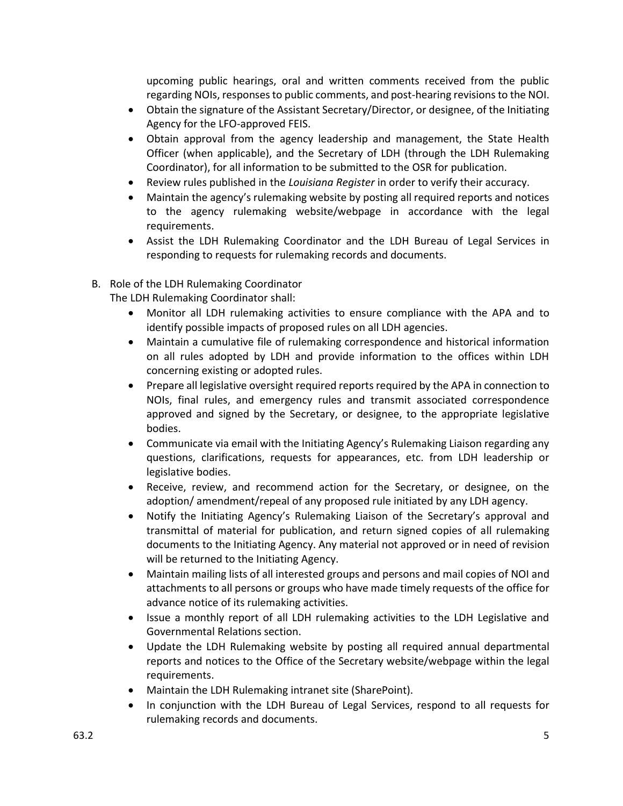upcoming public hearings, oral and written comments received from the public regarding NOIs, responses to public comments, and post-hearing revisions to the NOI.

- Obtain the signature of the Assistant Secretary/Director, or designee, of the Initiating Agency for the LFO-approved FEIS.
- Obtain approval from the agency leadership and management, the State Health Officer (when applicable), and the Secretary of LDH (through the LDH Rulemaking Coordinator), for all information to be submitted to the OSR for publication.
- Review rules published in the *Louisiana Register* in order to verify their accuracy.
- Maintain the agency's rulemaking website by posting all required reports and notices to the agency rulemaking website/webpage in accordance with the legal requirements.
- Assist the LDH Rulemaking Coordinator and the LDH Bureau of Legal Services in responding to requests for rulemaking records and documents.
- B. Role of the LDH Rulemaking Coordinator

The LDH Rulemaking Coordinator shall:

- Monitor all LDH rulemaking activities to ensure compliance with the APA and to identify possible impacts of proposed rules on all LDH agencies.
- Maintain a cumulative file of rulemaking correspondence and historical information on all rules adopted by LDH and provide information to the offices within LDH concerning existing or adopted rules.
- Prepare all legislative oversight required reports required by the APA in connection to NOIs, final rules, and emergency rules and transmit associated correspondence approved and signed by the Secretary, or designee, to the appropriate legislative bodies.
- Communicate via email with the Initiating Agency's Rulemaking Liaison regarding any questions, clarifications, requests for appearances, etc. from LDH leadership or legislative bodies.
- Receive, review, and recommend action for the Secretary, or designee, on the adoption/ amendment/repeal of any proposed rule initiated by any LDH agency.
- Notify the Initiating Agency's Rulemaking Liaison of the Secretary's approval and transmittal of material for publication, and return signed copies of all rulemaking documents to the Initiating Agency. Any material not approved or in need of revision will be returned to the Initiating Agency.
- Maintain mailing lists of all interested groups and persons and mail copies of NOI and attachments to all persons or groups who have made timely requests of the office for advance notice of its rulemaking activities.
- Issue a monthly report of all LDH rulemaking activities to the LDH Legislative and Governmental Relations section.
- Update the LDH Rulemaking website by posting all required annual departmental reports and notices to the Office of the Secretary website/webpage within the legal requirements.
- Maintain the LDH Rulemaking intranet site (SharePoint).
- In conjunction with the LDH Bureau of Legal Services, respond to all requests for rulemaking records and documents.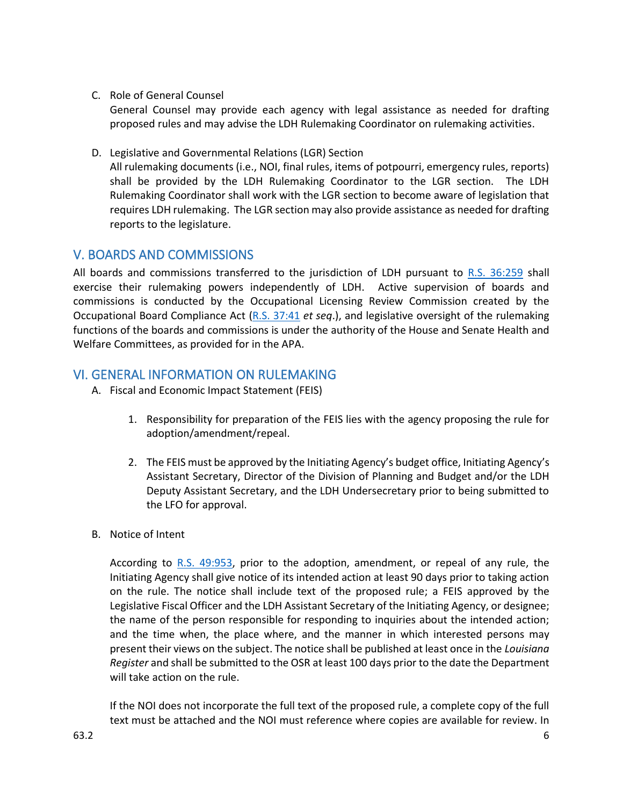C. Role of General Counsel

General Counsel may provide each agency with legal assistance as needed for drafting proposed rules and may advise the LDH Rulemaking Coordinator on rulemaking activities.

D. Legislative and Governmental Relations (LGR) Section

All rulemaking documents (i.e., NOI, final rules, items of potpourri, emergency rules, reports) shall be provided by the LDH Rulemaking Coordinator to the LGR section. The LDH Rulemaking Coordinator shall work with the LGR section to become aware of legislation that requires LDH rulemaking. The LGR section may also provide assistance as needed for drafting reports to the legislature.

#### V. BOARDS AND COMMISSIONS

All boards and commissions transferred to the jurisdiction of LDH pursuant to [R.S. 36:259](https://www.legis.la.gov/Legis/Law.aspx?d=92728) shall exercise their rulemaking powers independently of LDH. Active supervision of boards and commissions is conducted by the Occupational Licensing Review Commission created by the Occupational Board Compliance Act [\(R.S. 37:41](https://www.legis.la.gov/Legis/Law.aspx?d=1108899) *et seq*.), and legislative oversight of the rulemaking functions of the boards and commissions is under the authority of the House and Senate Health and Welfare Committees, as provided for in the APA.

#### VI. GENERAL INFORMATION ON RULEMAKING

- A. Fiscal and Economic Impact Statement (FEIS)
	- 1. Responsibility for preparation of the FEIS lies with the agency proposing the rule for adoption/amendment/repeal.
	- 2. The FEIS must be approved by the Initiating Agency's budget office, Initiating Agency's Assistant Secretary, Director of the Division of Planning and Budget and/or the LDH Deputy Assistant Secretary, and the LDH Undersecretary prior to being submitted to the LFO for approval.
- B. Notice of Intent

According to [R.S. 49:953,](https://www.legis.la.gov/Legis/Law.aspx?d=103789) prior to the adoption, amendment, or repeal of any rule, the Initiating Agency shall give notice of its intended action at least 90 days prior to taking action on the rule. The notice shall include text of the proposed rule; a FEIS approved by the Legislative Fiscal Officer and the LDH Assistant Secretary of the Initiating Agency, or designee; the name of the person responsible for responding to inquiries about the intended action; and the time when, the place where, and the manner in which interested persons may present their views on the subject. The notice shall be published at least once in the *Louisiana Register* and shall be submitted to the OSR at least 100 days prior to the date the Department will take action on the rule.

If the NOI does not incorporate the full text of the proposed rule, a complete copy of the full text must be attached and the NOI must reference where copies are available for review. In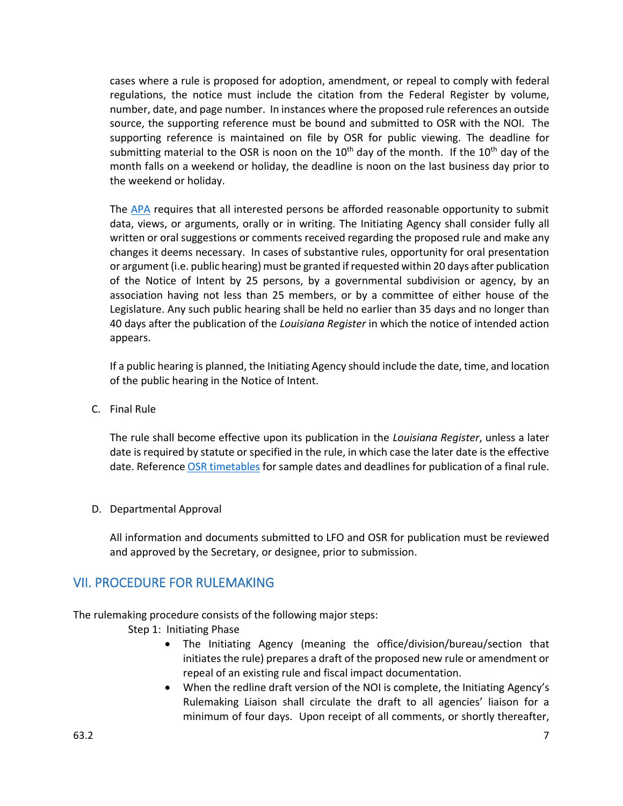cases where a rule is proposed for adoption, amendment, or repeal to comply with federal regulations, the notice must include the citation from the Federal Register by volume, number, date, and page number. In instances where the proposed rule references an outside source, the supporting reference must be bound and submitted to OSR with the NOI. The supporting reference is maintained on file by OSR for public viewing. The deadline for submitting material to the OSR is noon on the  $10^{th}$  day of the month. If the  $10^{th}$  day of the month falls on a weekend or holiday, the deadline is noon on the last business day prior to the weekend or holiday.

The [APA](https://www.legis.la.gov/Legis/Law.aspx?d=103789) requires that all interested persons be afforded reasonable opportunity to submit data, views, or arguments, orally or in writing. The Initiating Agency shall consider fully all written or oral suggestions or comments received regarding the proposed rule and make any changes it deems necessary. In cases of substantive rules, opportunity for oral presentation or argument (i.e. public hearing) must be granted if requested within 20 days after publication of the Notice of Intent by 25 persons, by a governmental subdivision or agency, by an association having not less than 25 members, or by a committee of either house of the Legislature. Any such public hearing shall be held no earlier than 35 days and no longer than 40 days after the publication of the *Louisiana Register* in which the notice of intended action appears.

If a public hearing is planned, the Initiating Agency should include the date, time, and location of the public hearing in the Notice of Intent.

C. Final Rule

The rule shall become effective upon its publication in the *Louisiana Register*, unless a later date is required by statute or specified in the rule, in which case the later date is the effective date. Referenc[e OSR timetables](https://www.doa.la.gov/Pages/osr/timetable.aspx) for sample dates and deadlines for publication of a final rule.

D. Departmental Approval

All information and documents submitted to LFO and OSR for publication must be reviewed and approved by the Secretary, or designee, prior to submission.

#### VII. PROCEDURE FOR RULEMAKING

The rulemaking procedure consists of the following major steps:

Step 1: Initiating Phase

- The Initiating Agency (meaning the office/division/bureau/section that initiates the rule) prepares a draft of the proposed new rule or amendment or repeal of an existing rule and fiscal impact documentation.
- When the redline draft version of the NOI is complete, the Initiating Agency's Rulemaking Liaison shall circulate the draft to all agencies' liaison for a minimum of four days. Upon receipt of all comments, or shortly thereafter,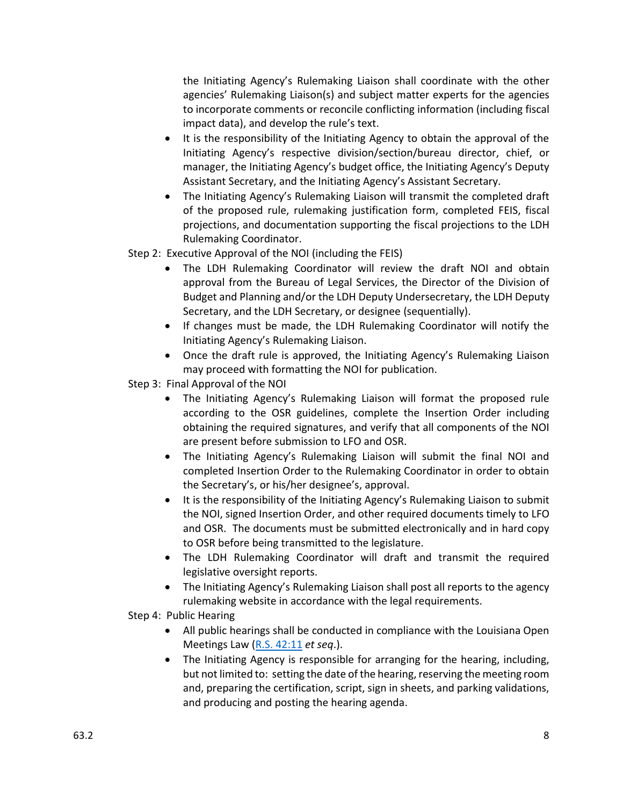the Initiating Agency's Rulemaking Liaison shall coordinate with the other agencies' Rulemaking Liaison(s) and subject matter experts for the agencies to incorporate comments or reconcile conflicting information (including fiscal impact data), and develop the rule's text.

- It is the responsibility of the Initiating Agency to obtain the approval of the Initiating Agency's respective division/section/bureau director, chief, or manager, the Initiating Agency's budget office, the Initiating Agency's Deputy Assistant Secretary, and the Initiating Agency's Assistant Secretary.
- The Initiating Agency's Rulemaking Liaison will transmit the completed draft of the proposed rule, rulemaking justification form, completed FEIS, fiscal projections, and documentation supporting the fiscal projections to the LDH Rulemaking Coordinator.

Step 2: Executive Approval of the NOI (including the FEIS)

- The LDH Rulemaking Coordinator will review the draft NOI and obtain approval from the Bureau of Legal Services, the Director of the Division of Budget and Planning and/or the LDH Deputy Undersecretary, the LDH Deputy Secretary, and the LDH Secretary, or designee (sequentially).
- If changes must be made, the LDH Rulemaking Coordinator will notify the Initiating Agency's Rulemaking Liaison.
- Once the draft rule is approved, the Initiating Agency's Rulemaking Liaison may proceed with formatting the NOI for publication.

Step 3: Final Approval of the NOI

- The Initiating Agency's Rulemaking Liaison will format the proposed rule according to the OSR guidelines, complete the Insertion Order including obtaining the required signatures, and verify that all components of the NOI are present before submission to LFO and OSR.
- The Initiating Agency's Rulemaking Liaison will submit the final NOI and completed Insertion Order to the Rulemaking Coordinator in order to obtain the Secretary's, or his/her designee's, approval.
- It is the responsibility of the Initiating Agency's Rulemaking Liaison to submit the NOI, signed Insertion Order, and other required documents timely to LFO and OSR. The documents must be submitted electronically and in hard copy to OSR before being transmitted to the legislature.
- The LDH Rulemaking Coordinator will draft and transmit the required legislative oversight reports.
- The Initiating Agency's Rulemaking Liaison shall post all reports to the agency rulemaking website in accordance with the legal requirements.
- Step 4: Public Hearing
	- All public hearings shall be conducted in compliance with the Louisiana Open Meetings Law [\(R.S. 42:11](https://www.legis.la.gov/Legis/Law.aspx?d=727656) *et seq*.).
	- The Initiating Agency is responsible for arranging for the hearing, including, but not limited to: setting the date of the hearing, reserving the meeting room and, preparing the certification, script, sign in sheets, and parking validations, and producing and posting the hearing agenda.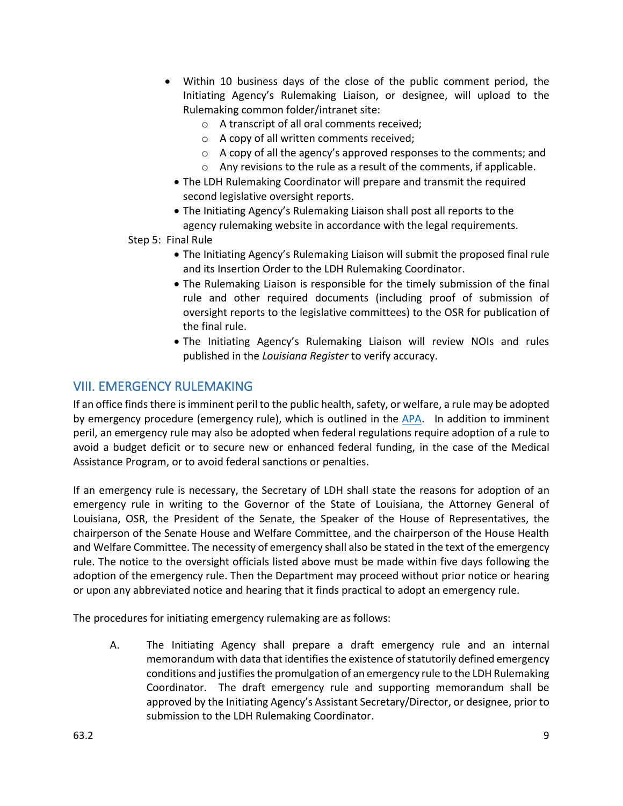- Within 10 business days of the close of the public comment period, the Initiating Agency's Rulemaking Liaison, or designee, will upload to the Rulemaking common folder/intranet site:
	- o A transcript of all oral comments received;
	- o A copy of all written comments received;
	- o A copy of all the agency's approved responses to the comments; and
	- $\circ$  Any revisions to the rule as a result of the comments, if applicable.
	- The LDH Rulemaking Coordinator will prepare and transmit the required second legislative oversight reports.
	- The Initiating Agency's Rulemaking Liaison shall post all reports to the agency rulemaking website in accordance with the legal requirements.
- Step 5: Final Rule
	- The Initiating Agency's Rulemaking Liaison will submit the proposed final rule and its Insertion Order to the LDH Rulemaking Coordinator.
	- The Rulemaking Liaison is responsible for the timely submission of the final rule and other required documents (including proof of submission of oversight reports to the legislative committees) to the OSR for publication of the final rule.
	- The Initiating Agency's Rulemaking Liaison will review NOIs and rules published in the *Louisiana Register* to verify accuracy.

#### VIII. EMERGENCY RULEMAKING

If an office finds there isimminent peril to the public health, safety, or welfare, a rule may be adopted by emergency procedure (emergency rule), which is outlined in the [APA.](https://www.legis.la.gov/Legis/Law.aspx?d=103789) In addition to imminent peril, an emergency rule may also be adopted when federal regulations require adoption of a rule to avoid a budget deficit or to secure new or enhanced federal funding, in the case of the Medical Assistance Program, or to avoid federal sanctions or penalties.

If an emergency rule is necessary, the Secretary of LDH shall state the reasons for adoption of an emergency rule in writing to the Governor of the State of Louisiana, the Attorney General of Louisiana, OSR, the President of the Senate, the Speaker of the House of Representatives, the chairperson of the Senate House and Welfare Committee, and the chairperson of the House Health and Welfare Committee. The necessity of emergency shall also be stated in the text of the emergency rule. The notice to the oversight officials listed above must be made within five days following the adoption of the emergency rule. Then the Department may proceed without prior notice or hearing or upon any abbreviated notice and hearing that it finds practical to adopt an emergency rule.

The procedures for initiating emergency rulemaking are as follows:

A. The Initiating Agency shall prepare a draft emergency rule and an internal memorandum with data that identifies the existence of statutorily defined emergency conditions and justifies the promulgation of an emergency rule to the LDH Rulemaking Coordinator. The draft emergency rule and supporting memorandum shall be approved by the Initiating Agency's Assistant Secretary/Director, or designee, prior to submission to the LDH Rulemaking Coordinator.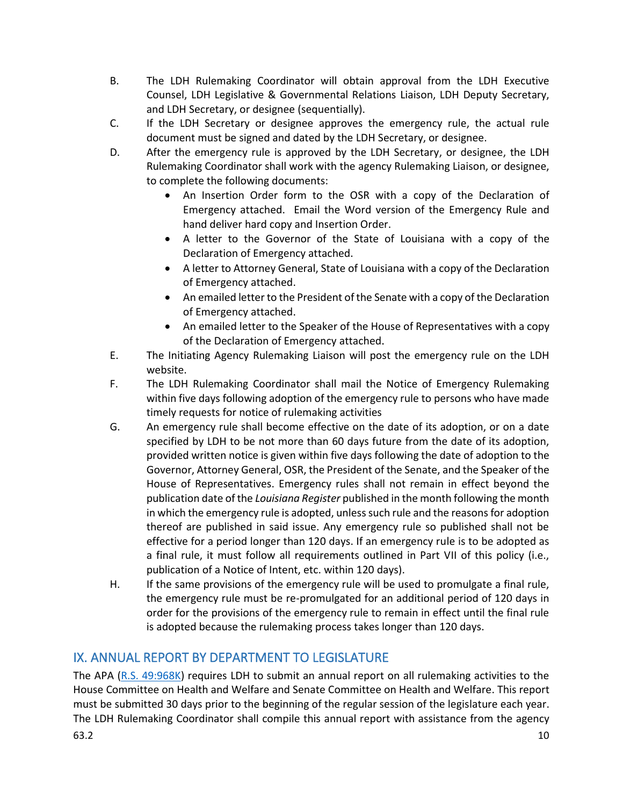- B. The LDH Rulemaking Coordinator will obtain approval from the LDH Executive Counsel, LDH Legislative & Governmental Relations Liaison, LDH Deputy Secretary, and LDH Secretary, or designee (sequentially).
- C. If the LDH Secretary or designee approves the emergency rule, the actual rule document must be signed and dated by the LDH Secretary, or designee.
- D. After the emergency rule is approved by the LDH Secretary, or designee, the LDH Rulemaking Coordinator shall work with the agency Rulemaking Liaison, or designee, to complete the following documents:
	- An Insertion Order form to the OSR with a copy of the Declaration of Emergency attached. Email the Word version of the Emergency Rule and hand deliver hard copy and Insertion Order.
	- A letter to the Governor of the State of Louisiana with a copy of the Declaration of Emergency attached.
	- A letter to Attorney General, State of Louisiana with a copy of the Declaration of Emergency attached.
	- An emailed letter to the President of the Senate with a copy of the Declaration of Emergency attached.
	- An emailed letter to the Speaker of the House of Representatives with a copy of the Declaration of Emergency attached.
- E. The Initiating Agency Rulemaking Liaison will post the emergency rule on the LDH website.
- F. The LDH Rulemaking Coordinator shall mail the Notice of Emergency Rulemaking within five days following adoption of the emergency rule to persons who have made timely requests for notice of rulemaking activities
- G. An emergency rule shall become effective on the date of its adoption, or on a date specified by LDH to be not more than 60 days future from the date of its adoption, provided written notice is given within five days following the date of adoption to the Governor, Attorney General, OSR, the President of the Senate, and the Speaker of the House of Representatives. Emergency rules shall not remain in effect beyond the publication date of the *Louisiana Register* published in the month following the month in which the emergency rule is adopted, unless such rule and the reasons for adoption thereof are published in said issue. Any emergency rule so published shall not be effective for a period longer than 120 days. If an emergency rule is to be adopted as a final rule, it must follow all requirements outlined in Part VII of this policy (i.e., publication of a Notice of Intent, etc. within 120 days).
- H. If the same provisions of the emergency rule will be used to promulgate a final rule, the emergency rule must be re-promulgated for an additional period of 120 days in order for the provisions of the emergency rule to remain in effect until the final rule is adopted because the rulemaking process takes longer than 120 days.

## IX. ANNUAL REPORT BY DEPARTMENT TO LEGISLATURE

The APA [\(R.S. 49:968K\)](https://www.legis.la.gov/Legis/Law.aspx?d=103809) requires LDH to submit an annual report on all rulemaking activities to the House Committee on Health and Welfare and Senate Committee on Health and Welfare. This report must be submitted 30 days prior to the beginning of the regular session of the legislature each year. The LDH Rulemaking Coordinator shall compile this annual report with assistance from the agency